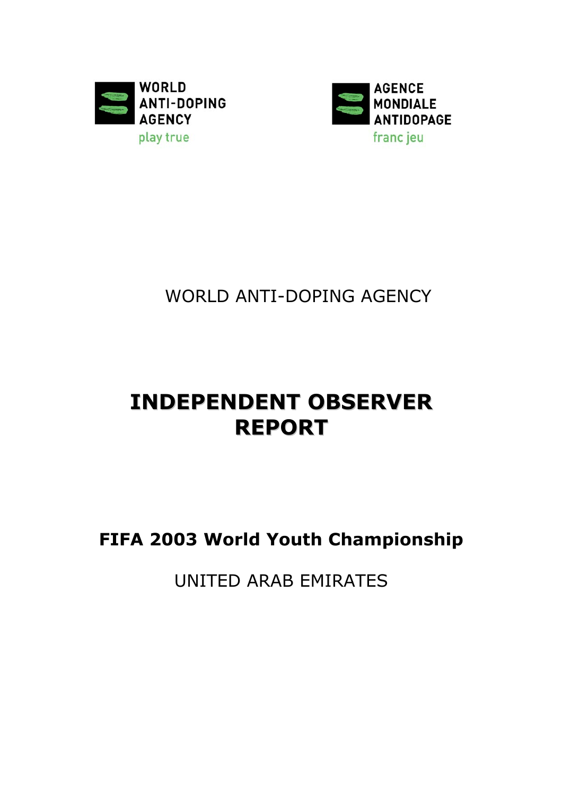



WORLD ANTI-DOPING AGENCY

# **INDEPENDENT OBSERVER REPORT**

**FIFA 2003 World Youth Championship**

UNITED ARAB EMIRATES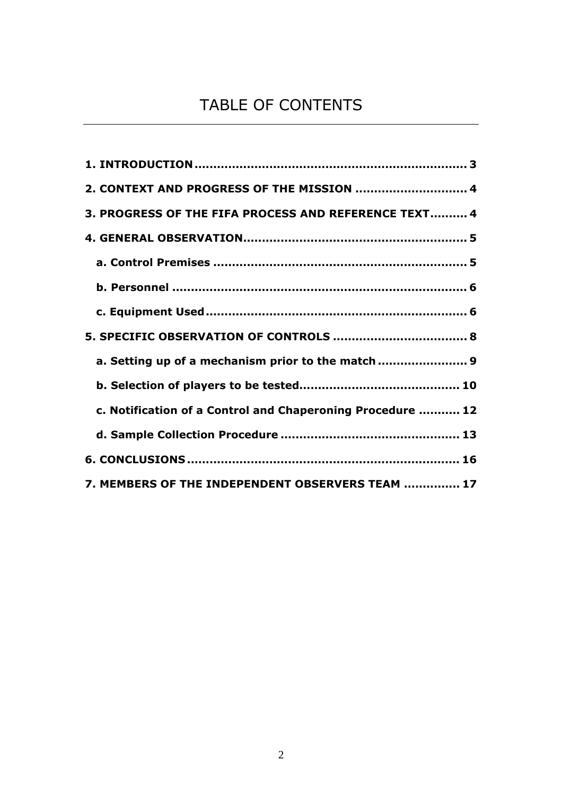# TABLE OF CONTENTS

| 2. CONTEXT AND PROGRESS OF THE MISSION  4                  |
|------------------------------------------------------------|
| 3. PROGRESS OF THE FIFA PROCESS AND REFERENCE TEXT 4       |
|                                                            |
|                                                            |
|                                                            |
|                                                            |
|                                                            |
| a. Setting up of a mechanism prior to the match  9         |
|                                                            |
| c. Notification of a Control and Chaperoning Procedure  12 |
|                                                            |
|                                                            |
| 7. MEMBERS OF THE INDEPENDENT OBSERVERS TEAM  17           |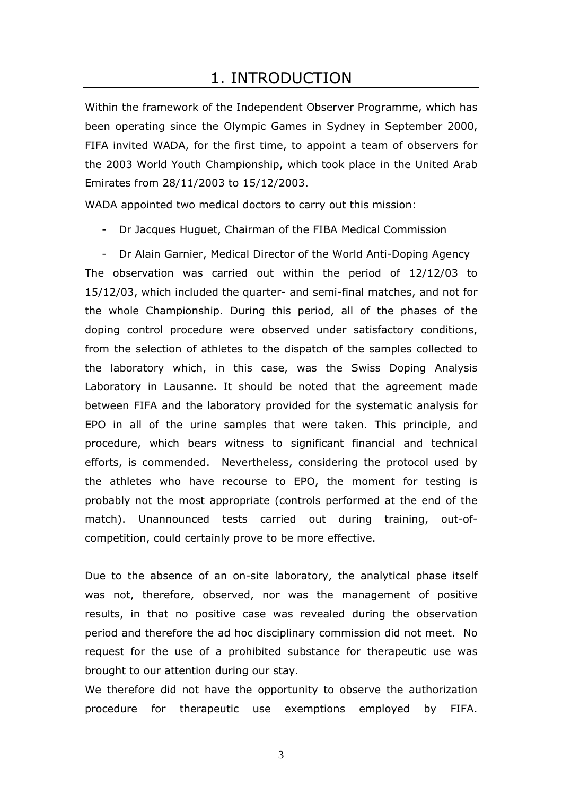## 1. INTRODUCTION

<span id="page-2-0"></span>Within the framework of the Independent Observer Programme, which has been operating since the Olympic Games in Sydney in September 2000, FIFA invited WADA, for the first time, to appoint a team of observers for the 2003 World Youth Championship, which took place in the United Arab Emirates from 28/11/2003 to 15/12/2003.

WADA appointed two medical doctors to carry out this mission:

- Dr Jacques Huguet, Chairman of the FIBA Medical Commission

- Dr Alain Garnier, Medical Director of the World Anti-Doping Agency The observation was carried out within the period of 12/12/03 to 15/12/03, which included the quarter- and semi-final matches, and not for the whole Championship. During this period, all of the phases of the doping control procedure were observed under satisfactory conditions, from the selection of athletes to the dispatch of the samples collected to the laboratory which, in this case, was the Swiss Doping Analysis Laboratory in Lausanne. It should be noted that the agreement made between FIFA and the laboratory provided for the systematic analysis for EPO in all of the urine samples that were taken. This principle, and procedure, which bears witness to significant financial and technical efforts, is commended. Nevertheless, considering the protocol used by the athletes who have recourse to EPO, the moment for testing is probably not the most appropriate (controls performed at the end of the match). Unannounced tests carried out during training, out-ofcompetition, could certainly prove to be more effective.

Due to the absence of an on-site laboratory, the analytical phase itself was not, therefore, observed, nor was the management of positive results, in that no positive case was revealed during the observation period and therefore the ad hoc disciplinary commission did not meet. No request for the use of a prohibited substance for therapeutic use was brought to our attention during our stay.

We therefore did not have the opportunity to observe the authorization procedure for therapeutic use exemptions employed by FIFA.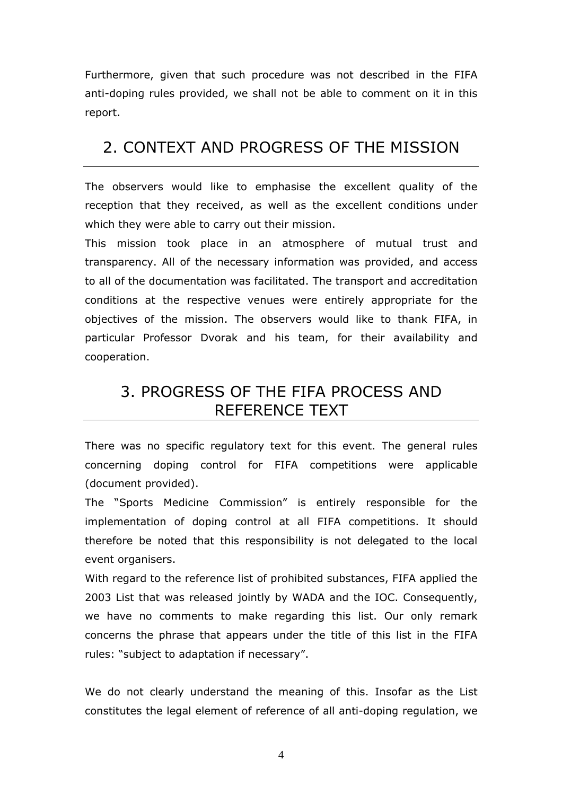<span id="page-3-0"></span>Furthermore, given that such procedure was not described in the FIFA anti-doping rules provided, we shall not be able to comment on it in this report.

# 2. CONTEXT AND PROGRESS OF THE MISSION

The observers would like to emphasise the excellent quality of the reception that they received, as well as the excellent conditions under which they were able to carry out their mission.

This mission took place in an atmosphere of mutual trust and transparency. All of the necessary information was provided, and access to all of the documentation was facilitated. The transport and accreditation conditions at the respective venues were entirely appropriate for the objectives of the mission. The observers would like to thank FIFA, in particular Professor Dvorak and his team, for their availability and cooperation.

# 3. PROGRESS OF THE FIFA PROCESS AND REFERENCE TEXT

There was no specific regulatory text for this event. The general rules concerning doping control for FIFA competitions were applicable (document provided).

The "Sports Medicine Commission" is entirely responsible for the implementation of doping control at all FIFA competitions. It should therefore be noted that this responsibility is not delegated to the local event organisers.

With regard to the reference list of prohibited substances, FIFA applied the 2003 List that was released jointly by WADA and the IOC. Consequently, we have no comments to make regarding this list. Our only remark concerns the phrase that appears under the title of this list in the FIFA rules: "subject to adaptation if necessary".

We do not clearly understand the meaning of this. Insofar as the List constitutes the legal element of reference of all anti-doping regulation, we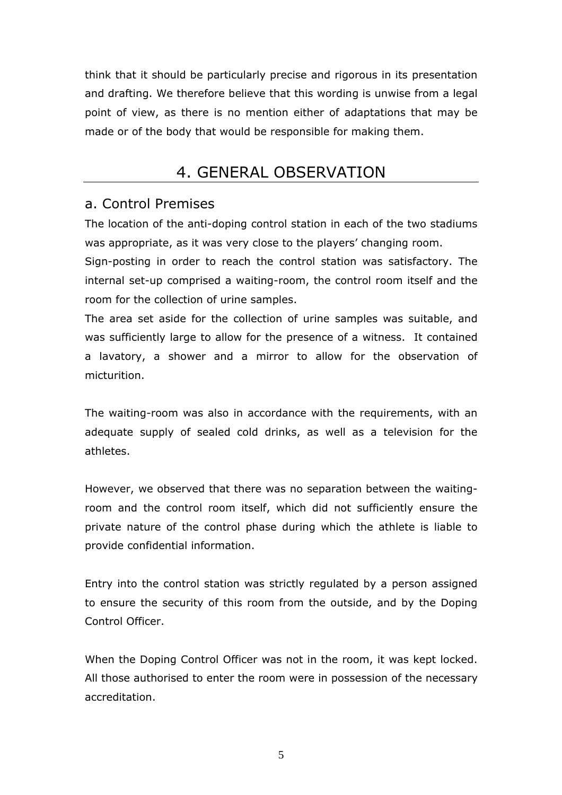<span id="page-4-0"></span>think that it should be particularly precise and rigorous in its presentation and drafting. We therefore believe that this wording is unwise from a legal point of view, as there is no mention either of adaptations that may be made or of the body that would be responsible for making them.

## 4. GENERAL OBSERVATION

### a. Control Premises

The location of the anti-doping control station in each of the two stadiums was appropriate, as it was very close to the players' changing room.

Sign-posting in order to reach the control station was satisfactory. The internal set-up comprised a waiting-room, the control room itself and the room for the collection of urine samples.

The area set aside for the collection of urine samples was suitable, and was sufficiently large to allow for the presence of a witness. It contained a lavatory, a shower and a mirror to allow for the observation of micturition.

The waiting-room was also in accordance with the requirements, with an adequate supply of sealed cold drinks, as well as a television for the athletes.

However, we observed that there was no separation between the waitingroom and the control room itself, which did not sufficiently ensure the private nature of the control phase during which the athlete is liable to provide confidential information.

Entry into the control station was strictly regulated by a person assigned to ensure the security of this room from the outside, and by the Doping Control Officer.

When the Doping Control Officer was not in the room, it was kept locked. All those authorised to enter the room were in possession of the necessary accreditation.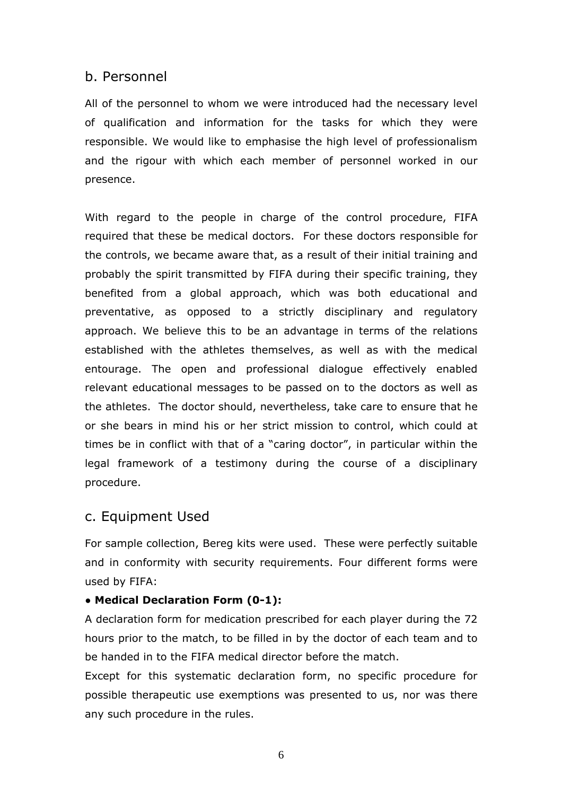#### <span id="page-5-0"></span>b. Personnel

All of the personnel to whom we were introduced had the necessary level of qualification and information for the tasks for which they were responsible. We would like to emphasise the high level of professionalism and the rigour with which each member of personnel worked in our presence.

With regard to the people in charge of the control procedure, FIFA required that these be medical doctors. For these doctors responsible for the controls, we became aware that, as a result of their initial training and probably the spirit transmitted by FIFA during their specific training, they benefited from a global approach, which was both educational and preventative, as opposed to a strictly disciplinary and regulatory approach. We believe this to be an advantage in terms of the relations established with the athletes themselves, as well as with the medical entourage. The open and professional dialogue effectively enabled relevant educational messages to be passed on to the doctors as well as the athletes. The doctor should, nevertheless, take care to ensure that he or she bears in mind his or her strict mission to control, which could at times be in conflict with that of a "caring doctor", in particular within the legal framework of a testimony during the course of a disciplinary procedure.

#### c. Equipment Used

For sample collection, Bereg kits were used. These were perfectly suitable and in conformity with security requirements. Four different forms were used by FIFA:

#### **● Medical Declaration Form (0-1):**

A declaration form for medication prescribed for each player during the 72 hours prior to the match, to be filled in by the doctor of each team and to be handed in to the FIFA medical director before the match.

Except for this systematic declaration form, no specific procedure for possible therapeutic use exemptions was presented to us, nor was there any such procedure in the rules.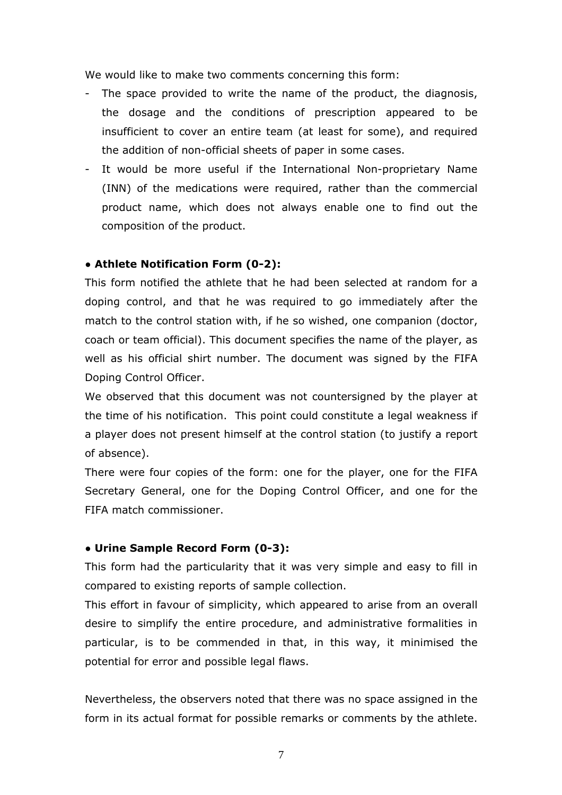We would like to make two comments concerning this form:

- The space provided to write the name of the product, the diagnosis, the dosage and the conditions of prescription appeared to be insufficient to cover an entire team (at least for some), and required the addition of non-official sheets of paper in some cases.
- It would be more useful if the International Non-proprietary Name (INN) of the medications were required, rather than the commercial product name, which does not always enable one to find out the composition of the product.

#### **● Athlete Notification Form (0-2):**

This form notified the athlete that he had been selected at random for a doping control, and that he was required to go immediately after the match to the control station with, if he so wished, one companion (doctor, coach or team official). This document specifies the name of the player, as well as his official shirt number. The document was signed by the FIFA Doping Control Officer.

We observed that this document was not countersigned by the player at the time of his notification. This point could constitute a legal weakness if a player does not present himself at the control station (to justify a report of absence).

There were four copies of the form: one for the player, one for the FIFA Secretary General, one for the Doping Control Officer, and one for the FIFA match commissioner.

#### **● Urine Sample Record Form (0-3):**

This form had the particularity that it was very simple and easy to fill in compared to existing reports of sample collection.

This effort in favour of simplicity, which appeared to arise from an overall desire to simplify the entire procedure, and administrative formalities in particular, is to be commended in that, in this way, it minimised the potential for error and possible legal flaws.

Nevertheless, the observers noted that there was no space assigned in the form in its actual format for possible remarks or comments by the athlete.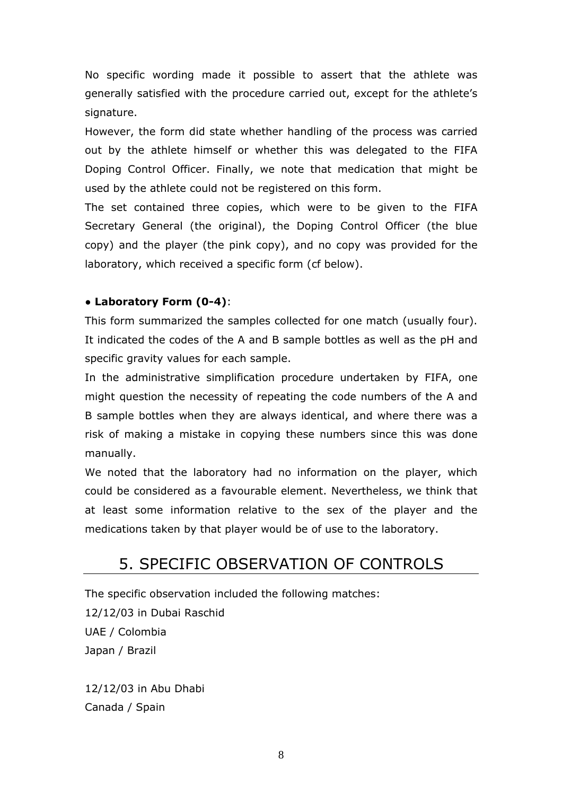<span id="page-7-0"></span>No specific wording made it possible to assert that the athlete was generally satisfied with the procedure carried out, except for the athlete's signature.

However, the form did state whether handling of the process was carried out by the athlete himself or whether this was delegated to the FIFA Doping Control Officer. Finally, we note that medication that might be used by the athlete could not be registered on this form.

The set contained three copies, which were to be given to the FIFA Secretary General (the original), the Doping Control Officer (the blue copy) and the player (the pink copy), and no copy was provided for the laboratory, which received a specific form (cf below).

#### **● Laboratory Form (0-4)**:

This form summarized the samples collected for one match (usually four). It indicated the codes of the A and B sample bottles as well as the pH and specific gravity values for each sample.

In the administrative simplification procedure undertaken by FIFA, one might question the necessity of repeating the code numbers of the A and B sample bottles when they are always identical, and where there was a risk of making a mistake in copying these numbers since this was done manually.

We noted that the laboratory had no information on the player, which could be considered as a favourable element. Nevertheless, we think that at least some information relative to the sex of the player and the medications taken by that player would be of use to the laboratory.

## 5. SPECIFIC OBSERVATION OF CONTROLS

The specific observation included the following matches:

12/12/03 in Dubai Raschid UAE / Colombia Japan / Brazil

12/12/03 in Abu Dhabi Canada / Spain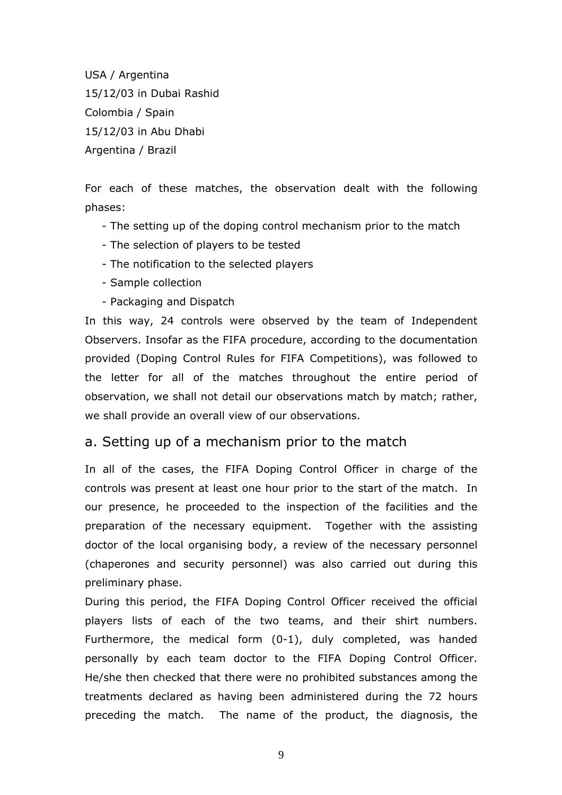<span id="page-8-0"></span>USA / Argentina 15/12/03 in Dubai Rashid Colombia / Spain 15/12/03 in Abu Dhabi Argentina / Brazil

For each of these matches, the observation dealt with the following phases:

- The setting up of the doping control mechanism prior to the match
- The selection of players to be tested
- The notification to the selected players
- Sample collection
- Packaging and Dispatch

In this way, 24 controls were observed by the team of Independent Observers. Insofar as the FIFA procedure, according to the documentation provided (Doping Control Rules for FIFA Competitions), was followed to the letter for all of the matches throughout the entire period of observation, we shall not detail our observations match by match; rather, we shall provide an overall view of our observations.

### a. Setting up of a mechanism prior to the match

In all of the cases, the FIFA Doping Control Officer in charge of the controls was present at least one hour prior to the start of the match. In our presence, he proceeded to the inspection of the facilities and the preparation of the necessary equipment. Together with the assisting doctor of the local organising body, a review of the necessary personnel (chaperones and security personnel) was also carried out during this preliminary phase.

During this period, the FIFA Doping Control Officer received the official players lists of each of the two teams, and their shirt numbers. Furthermore, the medical form (0-1), duly completed, was handed personally by each team doctor to the FIFA Doping Control Officer. He/she then checked that there were no prohibited substances among the treatments declared as having been administered during the 72 hours preceding the match. The name of the product, the diagnosis, the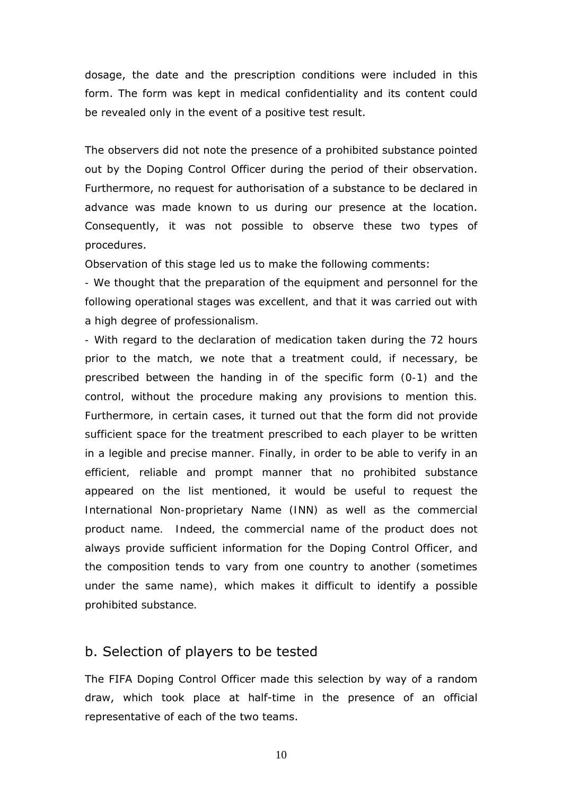<span id="page-9-0"></span>dosage, the date and the prescription conditions were included in this form. The form was kept in medical confidentiality and its content could be revealed only in the event of a positive test result.

The observers did not note the presence of a prohibited substance pointed out by the Doping Control Officer during the period of their observation. Furthermore, no request for authorisation of a substance to be declared in advance was made known to us during our presence at the location. Consequently, it was not possible to observe these two types of procedures.

Observation of this stage led us to make the following comments:

*- We thought that the preparation of the equipment and personnel for the following operational stages was excellent, and that it was carried out with a high degree of professionalism.* 

*- With regard to the declaration of medication taken during the 72 hours prior to the match, we note that a treatment could, if necessary, be prescribed between the handing in of the specific form (0-1) and the control, without the procedure making any provisions to mention this. Furthermore, in certain cases, it turned out that the form did not provide sufficient space for the treatment prescribed to each player to be written in a legible and precise manner. Finally, in order to be able to verify in an efficient, reliable and prompt manner that no prohibited substance*  appeared on the list mentioned, it would be useful to request the *International Non-proprietary Name (INN) as well as the commercial product name. Indeed, the commercial name of the product does not always provide sufficient information for the Doping Control Officer, and the composition tends to vary from one country to another (sometimes under the same name), which makes it difficult to identify a possible prohibited substance.*

#### b. Selection of players to be tested

The FIFA Doping Control Officer made this selection by way of a random draw, which took place at half-time in the presence of an official representative of each of the two teams.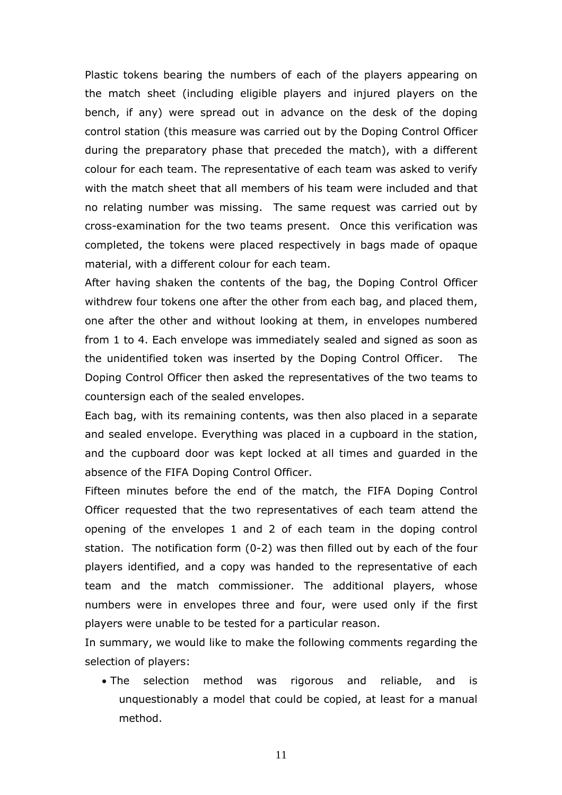Plastic tokens bearing the numbers of each of the players appearing on the match sheet (including eligible players and injured players on the bench, if any) were spread out in advance on the desk of the doping control station (this measure was carried out by the Doping Control Officer during the preparatory phase that preceded the match), with a different colour for each team. The representative of each team was asked to verify with the match sheet that all members of his team were included and that no relating number was missing. The same request was carried out by cross-examination for the two teams present. Once this verification was completed, the tokens were placed respectively in bags made of opaque material, with a different colour for each team.

After having shaken the contents of the bag, the Doping Control Officer withdrew four tokens one after the other from each bag, and placed them, one after the other and without looking at them, in envelopes numbered from 1 to 4. Each envelope was immediately sealed and signed as soon as the unidentified token was inserted by the Doping Control Officer. The Doping Control Officer then asked the representatives of the two teams to countersign each of the sealed envelopes.

Each bag, with its remaining contents, was then also placed in a separate and sealed envelope. Everything was placed in a cupboard in the station, and the cupboard door was kept locked at all times and guarded in the absence of the FIFA Doping Control Officer.

Fifteen minutes before the end of the match, the FIFA Doping Control Officer requested that the two representatives of each team attend the opening of the envelopes 1 and 2 of each team in the doping control station. The notification form (0-2) was then filled out by each of the four players identified, and a copy was handed to the representative of each team and the match commissioner. The additional players, whose numbers were in envelopes three and four, were used only if the first players were unable to be tested for a particular reason.

In summary, we would like to make the following comments regarding the selection of players:

• The selection method was rigorous and reliable, and is unquestionably a model that could be copied, at least for a manual method.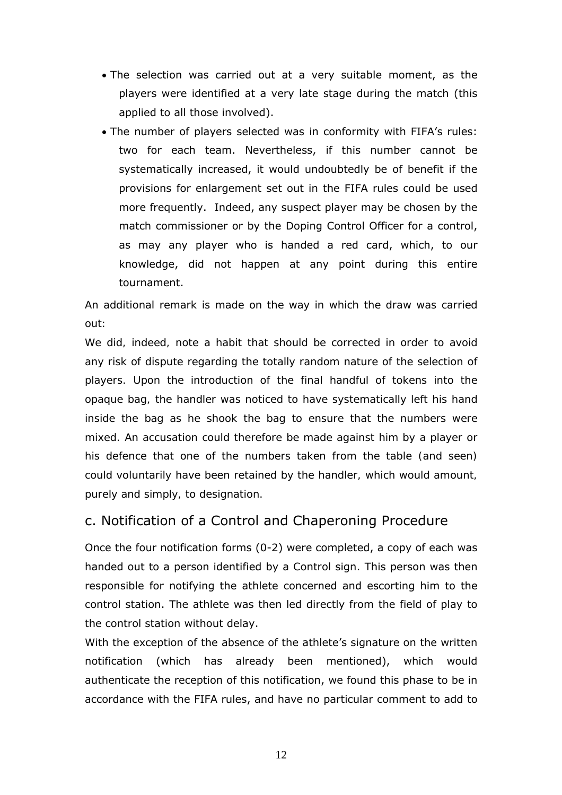- <span id="page-11-0"></span>• The selection was carried out at a very suitable moment, as the players were identified at a very late stage during the match (this applied to all those involved).
- The number of players selected was in conformity with FIFAís rules: two for each team. Nevertheless, if this number cannot be systematically increased, it would undoubtedly be of benefit if the provisions for enlargement set out in the FIFA rules could be used more frequently. Indeed, any suspect player may be chosen by the match commissioner or by the Doping Control Officer for a control, as may any player who is handed a red card, which, to our knowledge, did not happen at any point during this entire tournament.

*An additional remark is made on the way in which the draw was carried out:* 

*We did, indeed, note a habit that should be corrected in order to avoid any risk of dispute regarding the totally random nature of the selection of players. Upon the introduction of the final handful of tokens into the opaque bag, the handler was noticed to have systematically left his hand inside the bag as he shook the bag to ensure that the numbers were mixed. An accusation could therefore be made against him by a player or his defence that one of the numbers taken from the table (and seen) could voluntarily have been retained by the handler, which would amount, purely and simply, to designation.* 

### c. Notification of a Control and Chaperoning Procedure

Once the four notification forms (0-2) were completed, a copy of each was handed out to a person identified by a *Control* sign. This person was then responsible for notifying the athlete concerned and escorting him to the control station. The athlete was then led directly from the field of play to the control station without delay.

With the exception of the absence of the athlete's signature on the written notification (which has already been mentioned), which would authenticate the reception of this notification, we found this phase to be in accordance with the FIFA rules, and have no particular comment to add to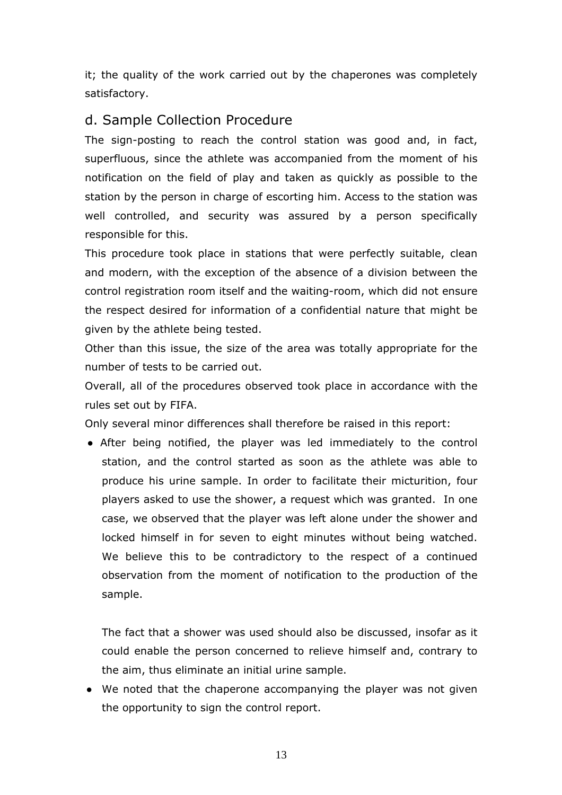<span id="page-12-0"></span>it; the quality of the work carried out by the chaperones was completely satisfactory.

### d. Sample Collection Procedure

The sign-posting to reach the control station was good and, in fact, superfluous, since the athlete was accompanied from the moment of his notification on the field of play and taken as quickly as possible to the station by the person in charge of escorting him. Access to the station was well controlled, and security was assured by a person specifically responsible for this.

This procedure took place in stations that were perfectly suitable, clean and modern, with the exception of the absence of a division between the control registration room itself and the waiting-room, which did not ensure the respect desired for information of a confidential nature that might be given by the athlete being tested.

Other than this issue, the size of the area was totally appropriate for the number of tests to be carried out.

Overall, all of the procedures observed took place in accordance with the rules set out by FIFA.

Only several minor differences shall therefore be raised in this report:

● After being notified, the player was led immediately to the control station, and the control started as soon as the athlete was able to produce his urine sample. In order to facilitate their micturition, four players asked to use the shower, a request which was granted. In one case, we observed that the player was left alone under the shower and locked himself in for seven to eight minutes without being watched. We believe this to be contradictory to the respect of a continued observation from the moment of notification to the production of the sample.

The fact that a shower was used should also be discussed, insofar as it could enable the person concerned to relieve himself and, contrary to the aim, thus eliminate an initial urine sample.

• We noted that the chaperone accompanying the player was not given the opportunity to sign the control report.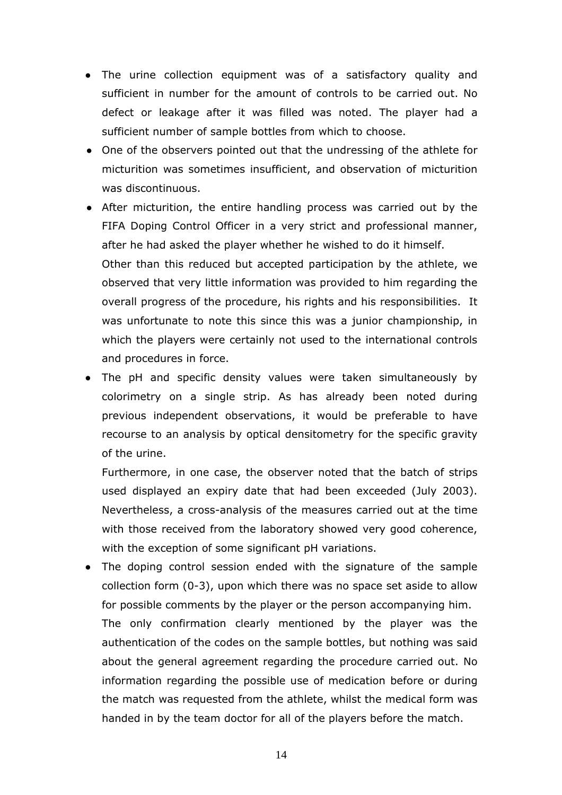- The urine collection equipment was of a satisfactory quality and sufficient in number for the amount of controls to be carried out. No defect or leakage after it was filled was noted. The player had a sufficient number of sample bottles from which to choose.
- One of the observers pointed out that the undressing of the athlete for micturition was sometimes insufficient, and observation of micturition was discontinuous.
- After micturition, the entire handling process was carried out by the FIFA Doping Control Officer in a very strict and professional manner, after he had asked the player whether he wished to do it himself. Other than this reduced but accepted participation by the athlete, we observed that very little information was provided to him regarding the overall progress of the procedure, his rights and his responsibilities. It was unfortunate to note this since this was a junior championship, in which the players were certainly not used to the international controls and procedures in force.
- The pH and specific density values were taken simultaneously by colorimetry on a single strip. As has already been noted during previous independent observations, it would be preferable to have recourse to an analysis by optical densitometry for the specific gravity of the urine.

Furthermore, in one case, the observer noted that the batch of strips used displayed an expiry date that had been exceeded (July 2003). Nevertheless, a cross-analysis of the measures carried out at the time with those received from the laboratory showed very good coherence, with the exception of some significant pH variations.

• The doping control session ended with the signature of the sample collection form (0-3), upon which there was no space set aside to allow for possible comments by the player or the person accompanying him. The only confirmation clearly mentioned by the player was the authentication of the codes on the sample bottles, but nothing was said about the general agreement regarding the procedure carried out. No information regarding the possible use of medication before or during the match was requested from the athlete, whilst the medical form was handed in by the team doctor for all of the players before the match.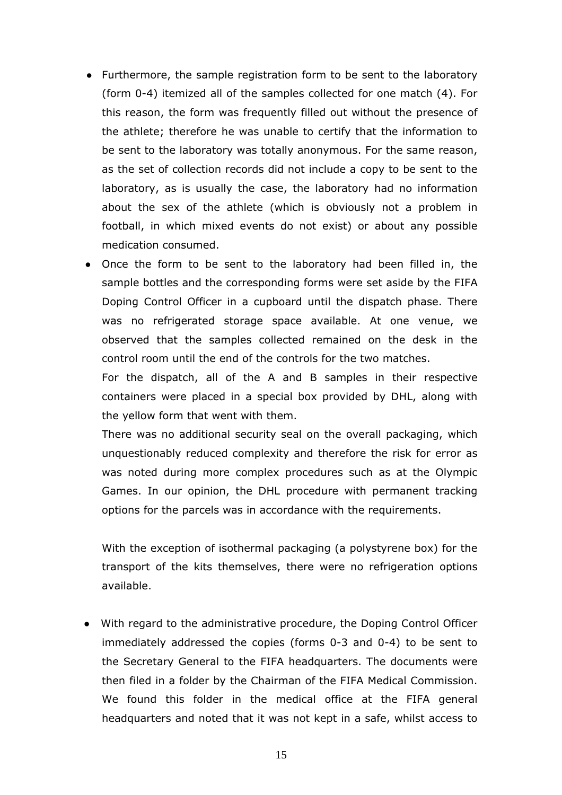- Furthermore, the sample registration form to be sent to the laboratory (form 0-4) itemized all of the samples collected for one match (4). For this reason, the form was frequently filled out without the presence of the athlete; therefore he was unable to certify that the information to be sent to the laboratory was totally anonymous. For the same reason, as the set of collection records did not include a copy to be sent to the laboratory, as is usually the case, the laboratory had no information about the sex of the athlete (which is obviously not a problem in football, in which mixed events do not exist) or about any possible medication consumed.
- Once the form to be sent to the laboratory had been filled in, the sample bottles and the corresponding forms were set aside by the FIFA Doping Control Officer in a cupboard until the dispatch phase. There was no refrigerated storage space available. At one venue, we observed that the samples collected remained on the desk in the control room until the end of the controls for the two matches.

For the dispatch, all of the A and B samples in their respective containers were placed in a special box provided by DHL, along with the yellow form that went with them.

There was no additional security seal on the overall packaging, which unquestionably reduced complexity and therefore the risk for error as was noted during more complex procedures such as at the Olympic Games. In our opinion, the DHL procedure with permanent tracking options for the parcels was in accordance with the requirements.

With the exception of isothermal packaging (a polystyrene box) for the transport of the kits themselves, there were no refrigeration options available.

● With regard to the administrative procedure, the Doping Control Officer immediately addressed the copies (forms 0-3 and 0-4) to be sent to the Secretary General to the FIFA headquarters. The documents were then filed in a folder by the Chairman of the FIFA Medical Commission. We found this folder in the medical office at the FIFA general headquarters and noted that it was not kept in a safe, whilst access to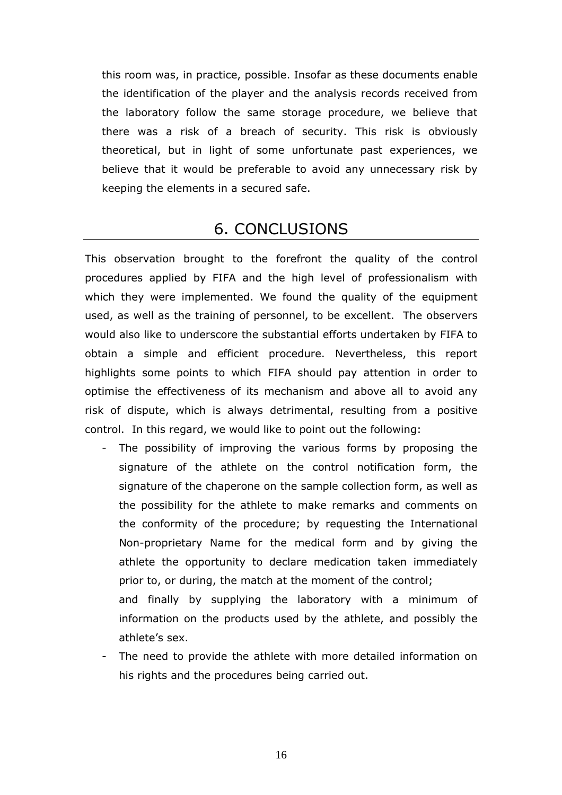<span id="page-15-0"></span>this room was, in practice, possible. Insofar as these documents enable the identification of the player and the analysis records received from the laboratory follow the same storage procedure, we believe that there was a risk of a breach of security. This risk is obviously theoretical, but in light of some unfortunate past experiences, we believe that it would be preferable to avoid any unnecessary risk by keeping the elements in a secured safe.

### 6. CONCLUSIONS

This observation brought to the forefront the quality of the control procedures applied by FIFA and the high level of professionalism with which they were implemented. We found the quality of the equipment used, as well as the training of personnel, to be excellent. The observers would also like to underscore the substantial efforts undertaken by FIFA to obtain a simple and efficient procedure. Nevertheless, this report highlights some points to which FIFA should pay attention in order to optimise the effectiveness of its mechanism and above all to avoid any risk of dispute, which is always detrimental, resulting from a positive control. In this regard, we would like to point out the following:

- The possibility of improving the various forms by proposing the signature of the athlete on the control notification form, the signature of the chaperone on the sample collection form, as well as the possibility for the athlete to make remarks and comments on the conformity of the procedure; by requesting the International Non-proprietary Name for the medical form and by giving the athlete the opportunity to declare medication taken immediately prior to, or during, the match at the moment of the control; and finally by supplying the laboratory with a minimum of information on the products used by the athlete, and possibly the athlete's sex.
- The need to provide the athlete with more detailed information on his rights and the procedures being carried out.